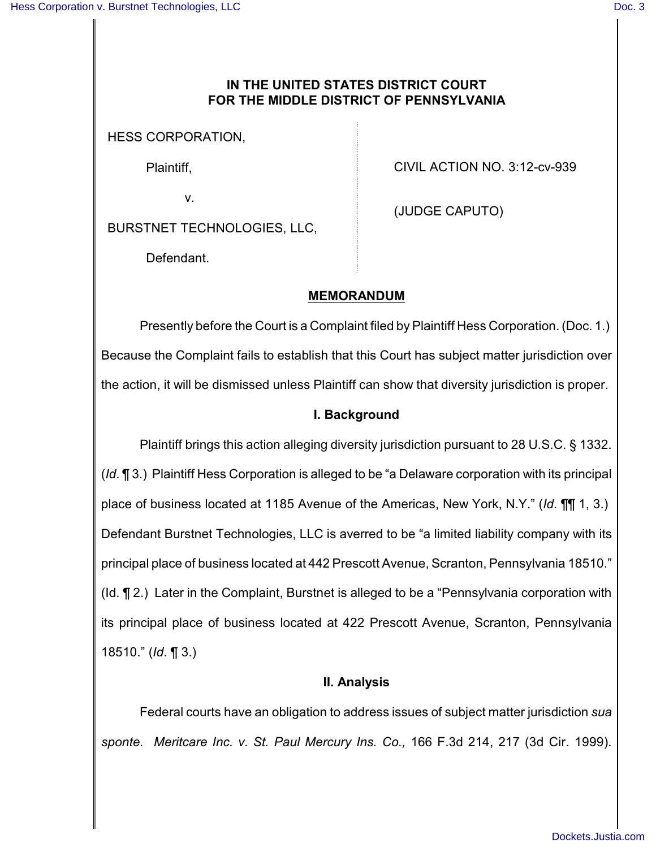# **IN THE UNITED STATES DISTRICT COURT FOR THE MIDDLE DISTRICT OF PENNSYLVANIA**

HESS CORPORATION,

Plaintiff,

v.

BURSTNET TECHNOLOGIES, LLC,

CIVIL ACTION NO. 3:12-cv-939

(JUDGE CAPUTO)

Defendant.

# **MEMORANDUM**

Presently before the Court is a Complaint filed by Plaintiff Hess Corporation. (Doc. 1.) Because the Complaint fails to establish that this Court has subject matter jurisdiction over the action, it will be dismissed unless Plaintiff can show that diversity jurisdiction is proper.

# **I. Background**

Plaintiff brings this action alleging diversity jurisdiction pursuant to 28 U.S.C. § 1332. (*Id*. ¶ 3.) Plaintiff Hess Corporation is alleged to be "a Delaware corporation with its principal place of business located at 1185 Avenue of the Americas, New York, N.Y." (*Id*. ¶¶ 1, 3.) Defendant Burstnet Technologies, LLC is averred to be "a limited liability company with its principal place of business located at 442 Prescott Avenue, Scranton, Pennsylvania 18510." (Id. ¶ 2.) Later in the Complaint, Burstnet is alleged to be a "Pennsylvania corporation with its principal place of business located at 422 Prescott Avenue, Scranton, Pennsylvania 18510." (*Id*. ¶ 3.)

#### **II. Analysis**

Federal courts have an obligation to address issues of subject matter jurisdiction *sua sponte. Meritcare Inc. v. St. Paul Mercury Ins. Co.,* 166 F.3d 214, 217 (3d Cir. 1999).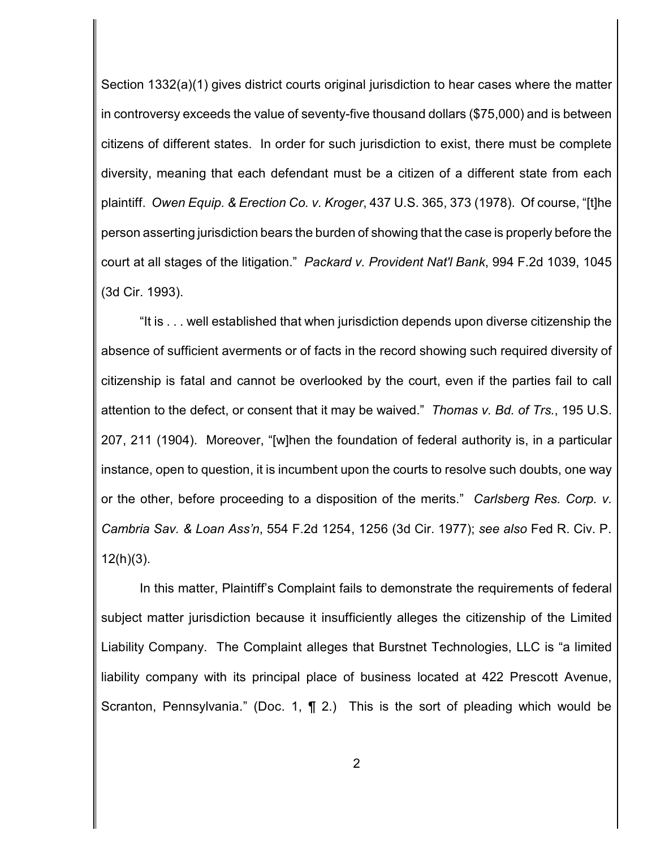Section 1332(a)(1) gives district courts original jurisdiction to hear cases where the matter in controversy exceeds the value of seventy-five thousand dollars (\$75,000) and is between citizens of different states. In order for such jurisdiction to exist, there must be complete diversity, meaning that each defendant must be a citizen of a different state from each plaintiff. *Owen Equip. & Erection Co. v. Kroger*, 437 U.S. 365, 373 (1978). Of course, "[t]he person asserting jurisdiction bears the burden of showing that the case is properly before the court at all stages of the litigation." *Packard v. Provident Nat'l Bank*, 994 F.2d 1039, 1045 (3d Cir. 1993).

"It is . . . well established that when jurisdiction depends upon diverse citizenship the absence of sufficient averments or of facts in the record showing such required diversity of citizenship is fatal and cannot be overlooked by the court, even if the parties fail to call attention to the defect, or consent that it may be waived." *Thomas v. Bd. of Trs.*, 195 U.S. 207, 211 (1904). Moreover, "[w]hen the foundation of federal authority is, in a particular instance, open to question, it is incumbent upon the courts to resolve such doubts, one way or the other, before proceeding to a disposition of the merits." *Carlsberg Res. Corp. v. Cambria Sav. & Loan Ass'n*, 554 F.2d 1254, 1256 (3d Cir. 1977); *see also* Fed R. Civ. P. 12(h)(3).

In this matter, Plaintiff's Complaint fails to demonstrate the requirements of federal subject matter jurisdiction because it insufficiently alleges the citizenship of the Limited Liability Company. The Complaint alleges that Burstnet Technologies, LLC is "a limited liability company with its principal place of business located at 422 Prescott Avenue, Scranton, Pennsylvania." (Doc. 1,  $\P$  2.) This is the sort of pleading which would be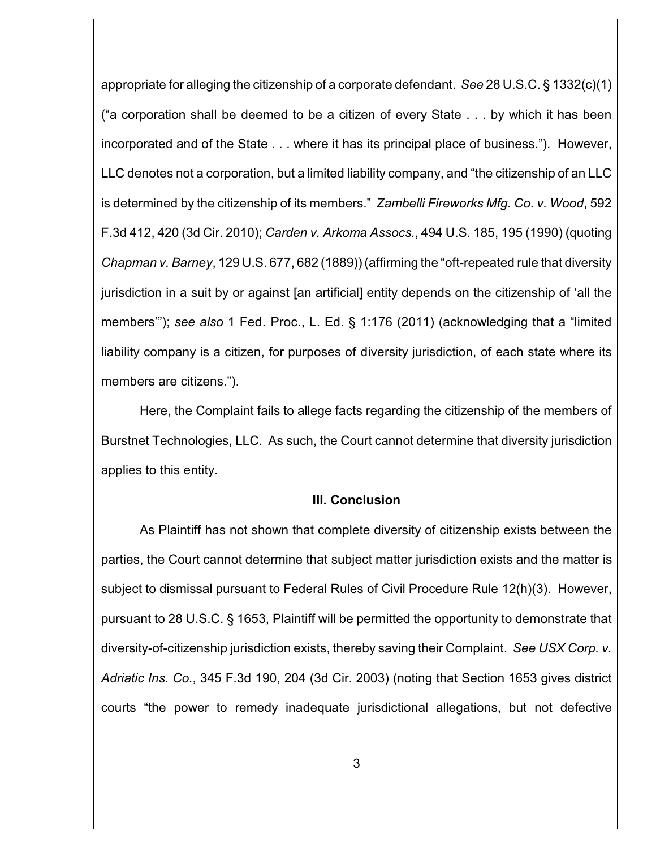appropriate for alleging the citizenship of a corporate defendant. *See* 28 U.S.C. § 1332(c)(1) ("a corporation shall be deemed to be a citizen of every State . . . by which it has been incorporated and of the State . . . where it has its principal place of business."). However, LLC denotes not a corporation, but a limited liability company, and "the citizenship of an LLC is determined by the citizenship of its members." *Zambelli Fireworks Mfg. Co. v. Wood*, 592 F.3d 412, 420 (3d Cir. 2010); *Carden v. Arkoma Assocs.*, 494 U.S. 185, 195 (1990) (quoting *Chapman v. Barney*, 129 U.S. 677, 682 (1889)) (affirming the "oft-repeated rule that diversity jurisdiction in a suit by or against [an artificial] entity depends on the citizenship of 'all the members'"); *see also* 1 Fed. Proc., L. Ed. § 1:176 (2011) (acknowledging that a "limited liability company is a citizen, for purposes of diversity jurisdiction, of each state where its members are citizens.").

Here, the Complaint fails to allege facts regarding the citizenship of the members of Burstnet Technologies, LLC. As such, the Court cannot determine that diversity jurisdiction applies to this entity.

#### **III. Conclusion**

As Plaintiff has not shown that complete diversity of citizenship exists between the parties, the Court cannot determine that subject matter jurisdiction exists and the matter is subject to dismissal pursuant to Federal Rules of Civil Procedure Rule 12(h)(3). However, pursuant to 28 U.S.C. § 1653, Plaintiff will be permitted the opportunity to demonstrate that diversity-of-citizenship jurisdiction exists, thereby saving their Complaint. *See USX Corp. v. Adriatic Ins. Co.*, 345 F.3d 190, 204 (3d Cir. 2003) (noting that Section 1653 gives district courts "the power to remedy inadequate jurisdictional allegations, but not defective